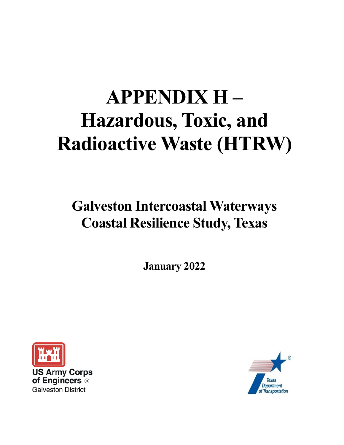# **APPENDIX H – Hazardous, Toxic, and Radioactive Waste (HTRW)**

## **Galveston Intercoastal Waterways Coastal Resilience Study, Texas**

**January 2022**



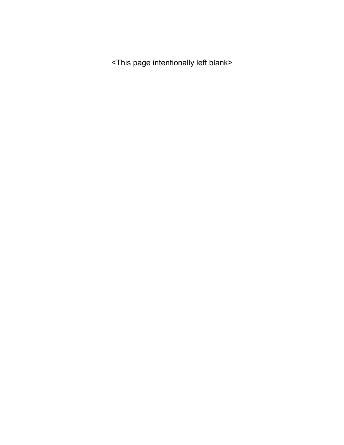<This page intentionally left blank>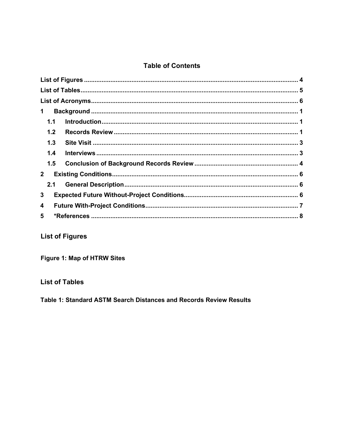#### **Table of Contents**

| 1           |  |
|-------------|--|
| 1.1         |  |
| 1.2         |  |
| 1.3         |  |
| 1.4         |  |
| 1.5         |  |
| $2^{\circ}$ |  |
| 2.1         |  |
| 3           |  |
| 4           |  |
| 5           |  |
|             |  |

#### **List of Figures**

Figure 1: Map of HTRW Sites

<span id="page-2-0"></span>**List of Tables** 

Table 1: Standard ASTM Search Distances and Records Review Results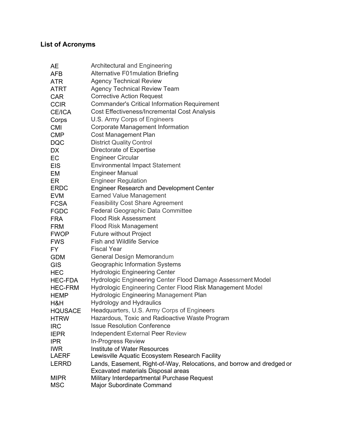### <span id="page-3-0"></span>**List of Acronyms**

| AE             | Architectural and Engineering                                         |
|----------------|-----------------------------------------------------------------------|
| <b>AFB</b>     | <b>Alternative F01mulation Briefing</b>                               |
| <b>ATR</b>     | <b>Agency Technical Review</b>                                        |
| ATRT           | <b>Agency Technical Review Team</b>                                   |
| <b>CAR</b>     | <b>Corrective Action Request</b>                                      |
| <b>CCIR</b>    | <b>Commander's Critical Information Requirement</b>                   |
| CE/ICA         | <b>Cost Effectiveness/Incremental Cost Analysis</b>                   |
| Corps          | U.S. Army Corps of Engineers                                          |
| <b>CMI</b>     | <b>Corporate Management Information</b>                               |
| <b>CMP</b>     | <b>Cost Management Plan</b>                                           |
| <b>DQC</b>     | <b>District Quality Control</b>                                       |
| DX             | Directorate of Expertise                                              |
| EC             | <b>Engineer Circular</b>                                              |
| <b>EIS</b>     | <b>Environmental Impact Statement</b>                                 |
| EM             | <b>Engineer Manual</b>                                                |
| ER             | <b>Engineer Regulation</b>                                            |
| <b>ERDC</b>    | <b>Engineer Research and Development Center</b>                       |
| <b>EVM</b>     | <b>Earned Value Management</b>                                        |
| <b>FCSA</b>    | <b>Feasibility Cost Share Agreement</b>                               |
| <b>FGDC</b>    | Federal Geographic Data Committee                                     |
| <b>FRA</b>     | <b>Flood Risk Assessment</b>                                          |
| FRM            | <b>Flood Risk Management</b>                                          |
| <b>FWOP</b>    | <b>Future without Project</b>                                         |
| <b>FWS</b>     | <b>Fish and Wildlife Service</b>                                      |
| FY.            | <b>Fiscal Year</b>                                                    |
| <b>GDM</b>     | General Design Memorandum                                             |
| <b>GIS</b>     | Geographic Information Systems                                        |
| <b>HEC</b>     | <b>Hydrologic Engineering Center</b>                                  |
| HEC-FDA        | Hydrologic Engineering Center Flood Damage Assessment Model           |
| <b>HEC-FRM</b> | Hydrologic Engineering Center Flood Risk Management Model             |
| <b>HEMP</b>    | <b>Hydrologic Engineering Management Plan</b>                         |
| H&H            | <b>Hydrology and Hydraulics</b>                                       |
| <b>HQUSACE</b> | Headquarters, U.S. Army Corps of Engineers                            |
| <b>HTRW</b>    | Hazardous, Toxic and Radioactive Waste Program                        |
| <b>IRC</b>     | <b>Issue Resolution Conference</b>                                    |
| <b>IEPR</b>    | <b>Independent External Peer Review</b>                               |
| <b>IPR</b>     | <b>In-Progress Review</b>                                             |
| <b>IWR</b>     | <b>Institute of Water Resources</b>                                   |
| <b>LAERF</b>   | Lewisville Aquatic Ecosystem Research Facility                        |
| <b>LERRD</b>   | Lands, Easement, Right-of-Way, Relocations, and borrow and dredged or |
|                | Excavated materials Disposal areas                                    |
| <b>MIPR</b>    | Military Interdepartmental Purchase Request                           |
| <b>MSC</b>     | Major Subordinate Command                                             |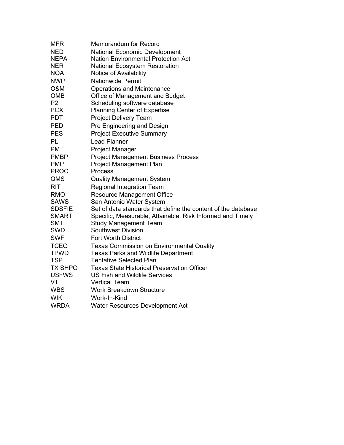| <b>MFR</b>     | <b>Memorandum for Record</b>                                  |
|----------------|---------------------------------------------------------------|
| <b>NED</b>     | <b>National Economic Development</b>                          |
| <b>NEPA</b>    | <b>Nation Environmental Protection Act</b>                    |
| <b>NER</b>     | <b>National Ecosystem Restoration</b>                         |
| <b>NOA</b>     | Notice of Availability                                        |
| <b>NWP</b>     | <b>Nationwide Permit</b>                                      |
| O&M            | <b>Operations and Maintenance</b>                             |
| <b>OMB</b>     | Office of Management and Budget                               |
| P <sub>2</sub> | Scheduling software database                                  |
| <b>PCX</b>     | <b>Planning Center of Expertise</b>                           |
| <b>PDT</b>     | <b>Project Delivery Team</b>                                  |
| <b>PED</b>     | Pre Engineering and Design                                    |
| <b>PES</b>     | <b>Project Executive Summary</b>                              |
| PL             | <b>Lead Planner</b>                                           |
| <b>PM</b>      | <b>Project Manager</b>                                        |
| <b>PMBP</b>    | <b>Project Management Business Process</b>                    |
| <b>PMP</b>     | <b>Project Management Plan</b>                                |
| <b>PROC</b>    | Process                                                       |
| QMS            | <b>Quality Management System</b>                              |
| <b>RIT</b>     | <b>Regional Integration Team</b>                              |
| <b>RMO</b>     | <b>Resource Management Office</b>                             |
| <b>SAWS</b>    | San Antonio Water System                                      |
| <b>SDSFIE</b>  | Set of data standards that define the content of the database |
| <b>SMART</b>   | Specific, Measurable, Attainable, Risk Informed and Timely    |
| <b>SMT</b>     | <b>Study Management Team</b>                                  |
| <b>SWD</b>     | <b>Southwest Division</b>                                     |
| <b>SWF</b>     | <b>Fort Worth District</b>                                    |
| <b>TCEQ</b>    | <b>Texas Commission on Environmental Quality</b>              |
| <b>TPWD</b>    | <b>Texas Parks and Wildlife Department</b>                    |
| <b>TSP</b>     | <b>Tentative Selected Plan</b>                                |
| <b>TX SHPO</b> | <b>Texas State Historical Preservation Officer</b>            |
| <b>USFWS</b>   | <b>US Fish and Wildlife Services</b>                          |
| VT             | <b>Vertical Team</b>                                          |
| <b>WBS</b>     | <b>Work Breakdown Structure</b>                               |
| <b>WIK</b>     | Work-In-Kind                                                  |
| <b>WRDA</b>    | Water Resources Development Act                               |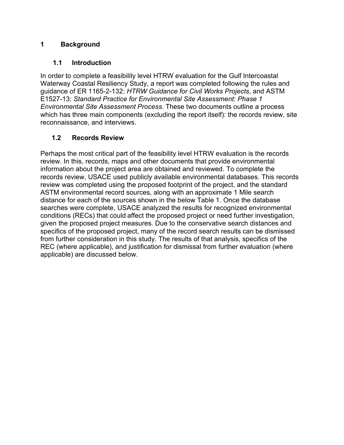#### <span id="page-5-0"></span>**1 Background**

#### **1.1 Introduction**

<span id="page-5-1"></span>In order to complete a feasibility level HTRW evaluation for the Gulf Intercoastal Waterway Coastal Resiliency Study, a report was completed following the rules and guidance of ER 1165-2-132: *HTRW Guidance for Civil Works Projects*, and ASTM E1527-13: *Standard Practice for Environmental Site Assessment: Phase 1 Environmental Site Assessment Process*. These two documents outline a process which has three main components (excluding the report itself): the records review, site reconnaissance, and interviews.

#### **1.2 Records Review**

<span id="page-5-2"></span>Perhaps the most critical part of the feasibility level HTRW evaluation is the records review. In this, records, maps and other documents that provide environmental information about the project area are obtained and reviewed. To complete the records review, USACE used publicly available environmental databases. This records review was completed using the proposed footprint of the project, and the standard ASTM environmental record sources, along with an approximate 1 Mile search distance for each of the sources shown in the below [Table 1. O](#page-6-0)nce the database searches were complete, USACE analyzed the results for recognized environmental conditions (RECs) that could affect the proposed project or need further investigation, given the proposed project measures. Due to the conservative search distances and specifics of the proposed project, many of the record search results can be dismissed from further consideration in this study. The results of that analysis, specifics of the REC (where applicable), and justification for dismissal from further evaluation (where applicable) are discussed below.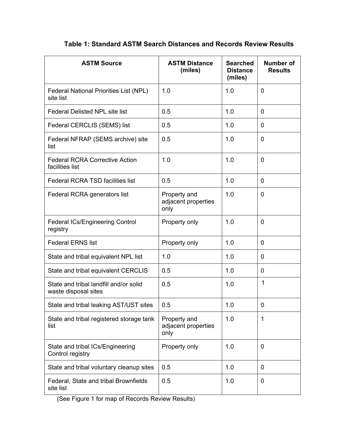<span id="page-6-0"></span>

| <b>ASTM Source</b>                                             | <b>ASTM Distance</b><br>(miles)             | <b>Searched</b><br><b>Distance</b><br>(miles) | <b>Number of</b><br><b>Results</b> |
|----------------------------------------------------------------|---------------------------------------------|-----------------------------------------------|------------------------------------|
| <b>Federal National Priorities List (NPL)</b><br>site list     | 1.0                                         | 1.0                                           | $\overline{0}$                     |
| <b>Federal Delisted NPL site list</b>                          | 0.5                                         | 1.0                                           | $\mathbf 0$                        |
| Federal CERCLIS (SEMS) list                                    | 0.5                                         | 1.0                                           | 0                                  |
| Federal NFRAP (SEMS archive) site<br>list                      | 0.5                                         | 1.0                                           | $\mathbf 0$                        |
| <b>Federal RCRA Corrective Action</b><br>facilities list       | 1.0                                         | 1.0                                           | $\mathbf 0$                        |
| <b>Federal RCRA TSD facilities list</b>                        | 0.5                                         | 1.0                                           | 0                                  |
| Federal RCRA generators list                                   | Property and<br>adjacent properties<br>only | 1.0                                           | $\Omega$                           |
| <b>Federal ICs/Engineering Control</b><br>registry             | Property only                               | 1.0                                           | 0                                  |
| <b>Federal ERNS list</b>                                       | Property only                               | 1.0                                           | 0                                  |
| State and tribal equivalent NPL list                           | 1.0                                         | 1.0                                           | $\mathbf 0$                        |
| State and tribal equivalent CERCLIS                            | 0.5                                         | 1.0                                           | 0                                  |
| State and tribal landfill and/or solid<br>waste disposal sites | 0.5                                         | 1.0                                           | $\mathbf{1}$                       |
| State and tribal leaking AST/UST sites                         | 0.5                                         | 1.0                                           | 0                                  |
| State and tribal registered storage tank<br>list               | Property and<br>adjacent properties<br>only | 1.0                                           | $\mathbf 1$                        |
| State and tribal ICs/Engineering<br>Control registry           | Property only                               | 1.0                                           | $\mathbf 0$                        |
| State and tribal voluntary cleanup sites                       | 0.5                                         | 1.0                                           | $\mathbf 0$                        |
| Federal, State and tribal Brownfields<br>site list             | 0.5                                         | 1.0                                           | $\mathbf 0$                        |

#### **Table 1: Standard ASTM Search Distances and Records Review Results**

(See Figure 1 for map of Records Review Results)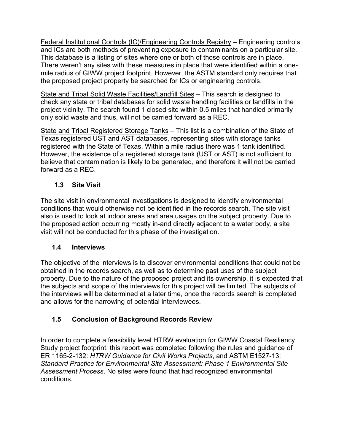Federal Institutional Controls (IC)/Engineering Controls Registry – Engineering controls and ICs are both methods of preventing exposure to contaminants on a particular site. This database is a listing of sites where one or both of those controls are in place. There weren't any sites with these measures in place that were identified within a onemile radius of GIWW project footprint. However, the ASTM standard only requires that the proposed project property be searched for ICs or engineering controls.

State and Tribal Solid Waste Facilities/Landfill Sites – This search is designed to check any state or tribal databases for solid waste handling facilities or landfills in the project vicinity. The search found 1 closed site within 0.5 miles that handled primarily only solid waste and thus, will not be carried forward as a REC.

State and Tribal Registered Storage Tanks – This list is a combination of the State of Texas registered UST and AST databases, representing sites with storage tanks registered with the State of Texas. Within a mile radius there was 1 tank identified. However, the existence of a registered storage tank (UST or AST) is not sufficient to believe that contamination is likely to be generated, and therefore it will not be carried forward as a REC.

#### **1.3 Site Visit**

<span id="page-7-0"></span>The site visit in environmental investigations is designed to identify environmental conditions that would otherwise not be identified in the records search. The site visit also is used to look at indoor areas and area usages on the subject property. Due to the proposed action occurring mostly in-and directly adjacent to a water body, a site visit will not be conducted for this phase of the investigation.

#### **1.4 Interviews**

<span id="page-7-1"></span>The objective of the interviews is to discover environmental conditions that could not be obtained in the records search, as well as to determine past uses of the subject property. Due to the nature of the proposed project and its ownership, it is expected that the subjects and scope of the interviews for this project will be limited. The subjects of the interviews will be determined at a later time, once the records search is completed and allows for the narrowing of potential interviewees.

#### <span id="page-7-2"></span>**1.5 Conclusion of Background Records Review**

In order to complete a feasibility level HTRW evaluation for GIWW Coastal Resiliency Study project footprint, this report was completed following the rules and guidance of ER 1165-2-132: *HTRW Guidance for Civil Works Projects*, and ASTM E1527-13: *Standard Practice for Environmental Site Assessment: Phase 1 Environmental Site Assessment Process*. No sites were found that had recognized environmental conditions.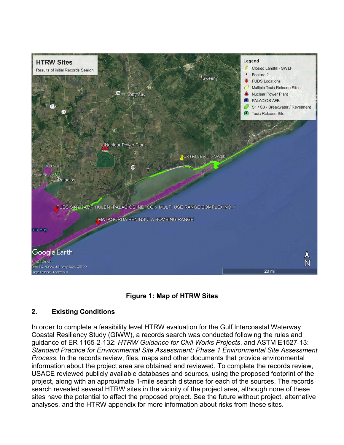

<span id="page-8-1"></span>

#### <span id="page-8-0"></span>**2. Existing Conditions**

In order to complete a feasibility level HTRW evaluation for the Gulf Intercoastal Waterway Coastal Resiliency Study (GIWW), a records search was conducted following the rules and guidance of ER 1165-2-132: *HTRW Guidance for Civil Works Projects*, and ASTM E1527-13: *Standard Practice for Environmental Site Assessment: Phase 1 Environmental Site Assessment Process*. In the records review, files, maps and other documents that provide environmental information about the project area are obtained and reviewed. To complete the records review, USACE reviewed publicly available databases and sources, using the proposed footprint of the project, along with an approximate 1-mile search distance for each of the sources. The records search revealed several HTRW sites in the vicinity of the project area, although none of these sites have the potential to affect the proposed project. See the future without project, alternative analyses, and the HTRW appendix for more information about risks from these sites.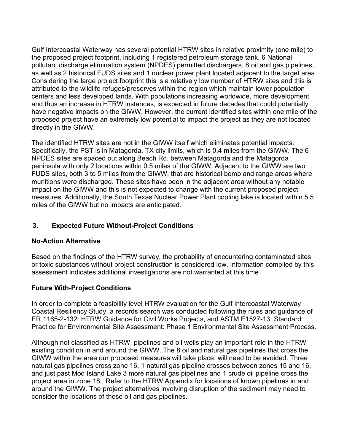Gulf Intercoastal Waterway has several potential HTRW sites in relative proximity (one mile) to the proposed project footprint, including 1 registered petroleum storage tank, 6 National pollutant discharge elimination system (NPDES) permitted dischargers, 8 oil and gas pipelines, as well as 2 historical FUDS sites and 1 nuclear power plant located adjacent to the target area. Considering the large project footprint this is a relatively low number of HTRW sites and this is attributed to the wildlife refuges/preserves within the region which maintain lower population centers and less developed lands. With populations increasing worldwide, more development and thus an increase in HTRW instances, is expected in future decades that could potentially have negative impacts on the GIWW. However, the current identified sites within one mile of the proposed project have an extremely low potential to impact the project as they are not located directly in the GIWW.

The identified HTRW sites are not in the GIWW itself which eliminates potential impacts. Specifically, the PST is in Matagorda, TX city limits, which is 0.4 miles from the GIWW. The 6 NPDES sites are spaced out along Beach Rd. between Matagorda and the Matagorda peninsula with only 2 locations within 0.5 miles of the GIWW. Adjacent to the GIWW are two FUDS sites, both 3 to 5 miles from the GIWW, that are historical bomb and range areas where munitions were discharged. These sites have been in the adjacent area without any notable impact on the GIWW and this is not expected to change with the current proposed project measures. Additionally, the South Texas Nuclear Power Plant cooling lake is located within 5.5 miles of the GIWW but no impacts are anticipated.

#### **3. Expected Future Without-Project Conditions**

#### **No-Action Alternative**

Based on the findings of the HTRW survey, the probability of encountering contaminated sites or toxic substances without project construction is considered low. Information compiled by this assessment indicates additional investigations are not warranted at this time

#### <span id="page-9-0"></span>**Future With-Project Conditions**

In order to complete a feasibility level HTRW evaluation for the Gulf Intercoastal Waterway Coastal Resiliency Study, a records search was conducted following the rules and guidance of ER 1165-2-132: HTRW Guidance for Civil Works Projects, and ASTM E1527-13: Standard Practice for Environmental Site Assessment: Phase 1 Environmental Site Assessment Process.

Although not classified as HTRW, pipelines and oil wells play an important role in the HTRW existing condition in and around the GIWW. The 8 oil and natural gas pipelines that cross the GIWW within the area our proposed measures will take place, will need to be avoided. Three natural gas pipelines cross zone 16, 1 natural gas pipeline crosses between zones 15 and 16, and just past Mod Island Lake 3 more natural gas pipelines and 1 crude oil pipeline cross the project area in zone 18. Refer to the HTRW Appendix for locations of known pipelines in and around the GIWW. The project alternatives involving disruption of the sediment may need to consider the locations of these oil and gas pipelines.